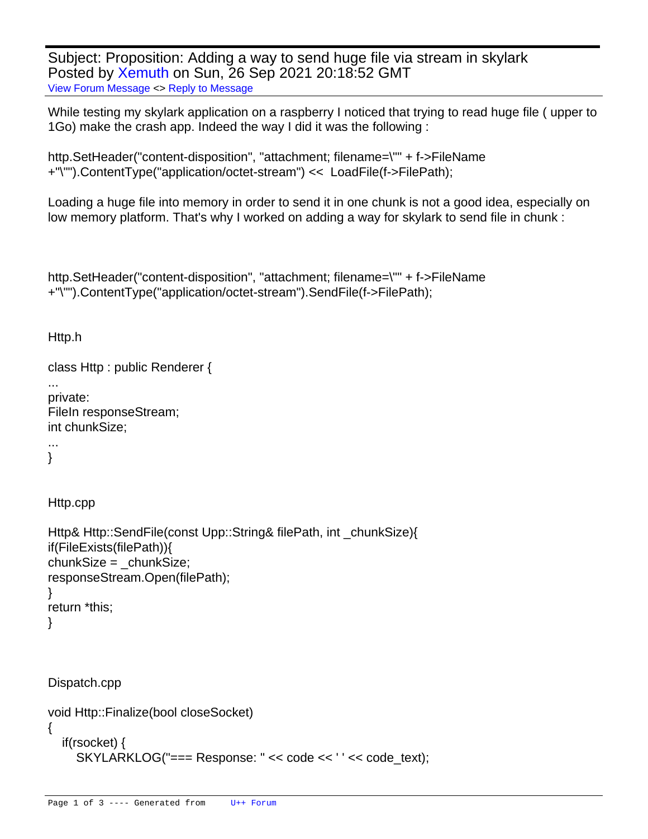Subject: Proposition: Adding a way to send huge file via stream in skylark Posted by [Xemuth](https://www.ultimatepp.org/forums/index.php?t=usrinfo&id=34388) on Sun, 26 Sep 2021 20:18:52 GMT [View Forum Message](https://www.ultimatepp.org/forums/index.php?t=rview&th=11649&goto=57568#msg_57568) <> [Reply to Message](https://www.ultimatepp.org/forums/index.php?t=post&reply_to=57568)

While testing my skylark application on a raspberry I noticed that trying to read huge file ( upper to 1Go) make the crash app. Indeed the way I did it was the following :

http.SetHeader("content-disposition", "attachment; filename=\"" + f->FileName +"\"").ContentType("application/octet-stream") << LoadFile(f->FilePath);

Loading a huge file into memory in order to send it in one chunk is not a good idea, especially on low memory platform. That's why I worked on adding a way for skylark to send file in chunk :

```
http.SetHeader("content-disposition", "attachment; filename=\"" + f->FileName
+"\"").ContentType("application/octet-stream").SendFile(f->FilePath);
```
Http.h

```
class Http : public Renderer {
```

```
private:
FileIn responseStream;
int chunkSize;
```
... }

...

Http.cpp

```
Http& Http::SendFile(const Upp::String& filePath, int _chunkSize){
	if(FileExists(filePath)){
 chunkSize = chunkSize;		responseStream.Open(filePath);
	}
	return *this;
}
```
Dispatch.cpp

```
void Http::Finalize(bool closeSocket)
{
   if(rsocket) {
    SKYLARKLOG("=== Response: " << code << ' ' << code text);
```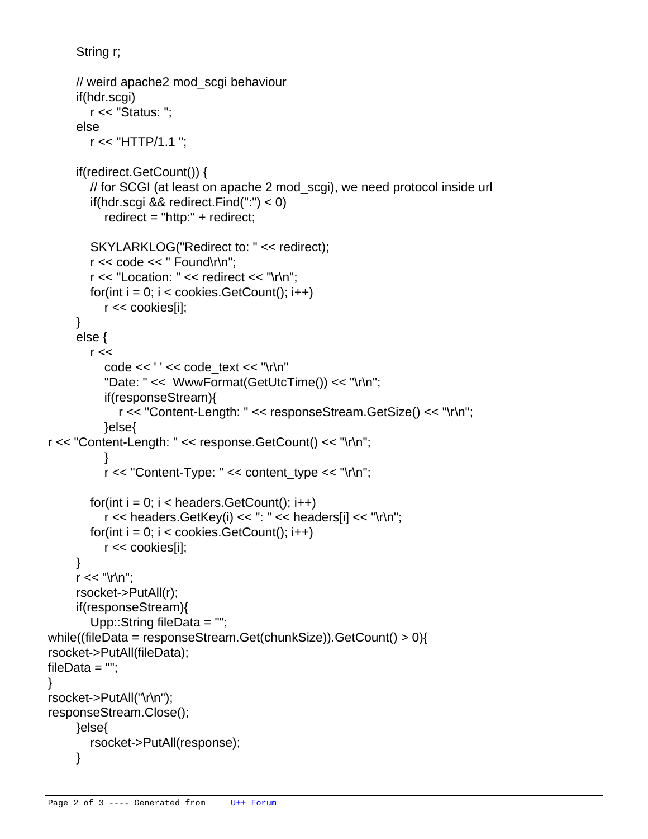```
 String r;
```

```
 // weird apache2 mod_scgi behaviour
      if(hdr.scgi)
        r << "Status: ";
      else
        r << "HTTP/1.1 ";
      if(redirect.GetCount()) {
        // for SCGI (at least on apache 2 mod_scgi), we need protocol inside url
        if(hdr.scgi && redirect.Find(":") < 0)
           redirect = "http:" + redirect;
        SKYLARKLOG("Redirect to: " << redirect);
        r << code << " Found\r\n";
       r \ll "Location: "\ll redirect \ll "\r\n":
       for(int i = 0; i < cookies. GetCount(); i++)
           r << cookies[i];
      }
      else {
       r <code << ' ' << code_text << "\r\n"
           "Date: " << WwwFormat(GetUtcTime()) << "\r\n";
           if(responseStream){
              r << "Content-Length: " << responseStream.GetSize() << "\r\n";
           }else{
  					r << "Content-Length: " << response.GetCount() << "\r\n";
 }
          r \ll "Content-Type: "\ll content type \ll "\r\n";
       for(int i = 0; i < headers. GetCount(); i++)
          r << headers. GetKey(i) << ": " << headers[i] << "\r\n";
       for(int i = 0; i < cookies. GetCount(); i++)
           r << cookies[i];
      }
     r \ll \sqrt{n} rsocket->PutAll(r);
      if(responseStream){
        Upp::String fileData = "";
 			while((fileData = responseStream.Get(chunkSize)).GetCount() > 0){
  				rsocket->PutAll(fileData);
  fileData = "";
 			rsocket->PutAll("\r\n");
 			responseStream.Close();
      }else{
        rsocket->PutAll(response);
      }
```
 }